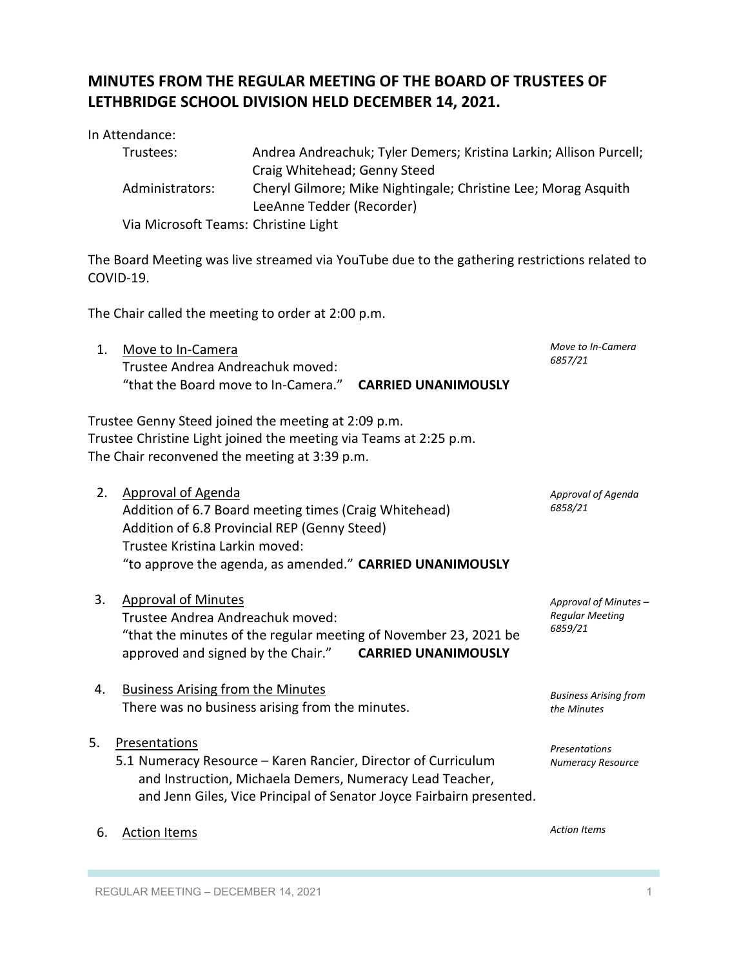# **MINUTES FROM THE REGULAR MEETING OF THE BOARD OF TRUSTEES OF LETHBRIDGE SCHOOL DIVISION HELD DECEMBER 14, 2021.**

In Attendance:

| Trustees:                            | Andrea Andreachuk; Tyler Demers; Kristina Larkin; Allison Purcell; |
|--------------------------------------|--------------------------------------------------------------------|
|                                      | Craig Whitehead; Genny Steed                                       |
| Administrators:                      | Cheryl Gilmore; Mike Nightingale; Christine Lee; Morag Asquith     |
|                                      | LeeAnne Tedder (Recorder)                                          |
| Via Microsoft Teams: Christine Light |                                                                    |

The Board Meeting was live streamed via YouTube due to the gathering restrictions related to COVID-19.

The Chair called the meeting to order at 2:00 p.m.

| Move to In-Camera<br>Trustee Andrea Andreachuk moved:                                                                    | Move to In-Camera<br>6857/21 |  |
|--------------------------------------------------------------------------------------------------------------------------|------------------------------|--|
| "that the Board move to In-Camera." CARRIED UNANIMOUSLY                                                                  |                              |  |
| Trustee Genny Steed joined the meeting at 2:09 p.m.<br>Trustee Christine Light joined the meeting via Teams at 2:25 p.m. |                              |  |

The Chair reconvened the meeting at 3:39 p.m.

| 2. | Approval of Agenda                                       | Approval of Agenda |
|----|----------------------------------------------------------|--------------------|
|    | Addition of 6.7 Board meeting times (Craig Whitehead)    | 6858/21            |
|    | Addition of 6.8 Provincial REP (Genny Steed)             |                    |
|    | Trustee Kristina Larkin moved:                           |                    |
|    | "to approve the agenda, as amended." CARRIED UNANIMOUSLY |                    |
|    |                                                          |                    |

- 3. Approval of Minutes Trustee Andrea Andreachuk moved: "that the minutes of the regular meeting of November 23, 2021 be approved and signed by the Chair." **CARRIED UNANIMOUSLY**
- 4. Business Arising from the Minutes There was no business arising from the minutes.

5. Presentations

- 5.1 Numeracy Resource Karen Rancier, Director of Curriculum and Instruction, Michaela Demers, Numeracy Lead Teacher, and Jenn Giles, Vice Principal of Senator Joyce Fairbairn presented. *Presentations Numeracy Resource*
- 6. Action Items

*Action Items*

*Approval of Minutes – Regular Meeting 6859/21*

*Business Arising from the Minutes*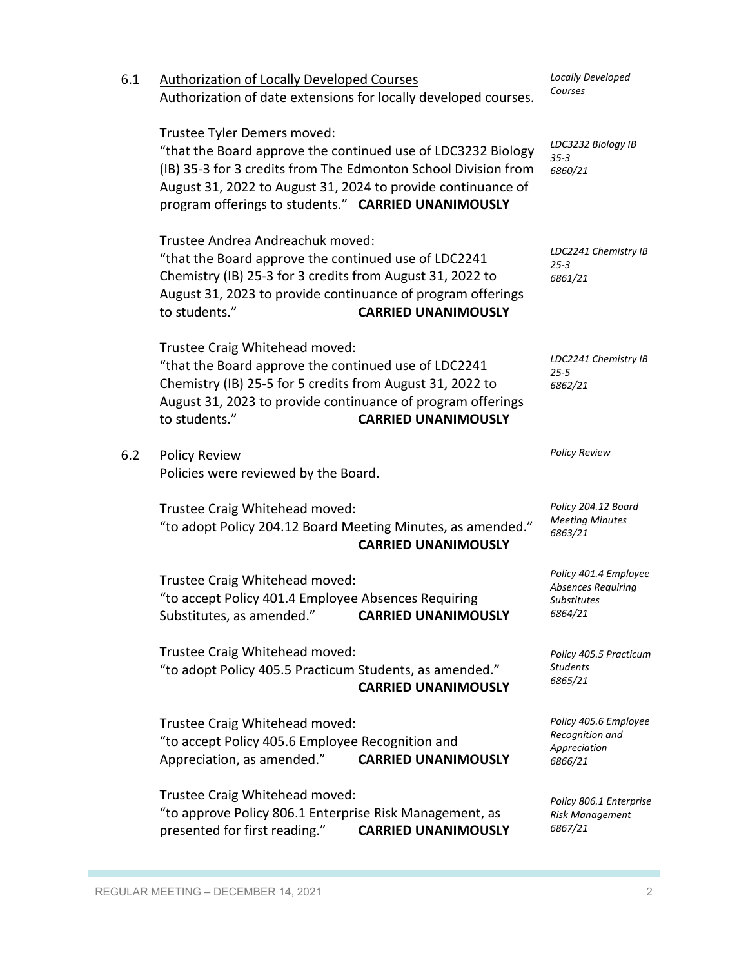| 6.1 | <b>Authorization of Locally Developed Courses</b><br>Authorization of date extensions for locally developed courses.                                                                                                                                                                 | Locally Developed<br>Courses                                                        |
|-----|--------------------------------------------------------------------------------------------------------------------------------------------------------------------------------------------------------------------------------------------------------------------------------------|-------------------------------------------------------------------------------------|
|     | Trustee Tyler Demers moved:<br>"that the Board approve the continued use of LDC3232 Biology<br>(IB) 35-3 for 3 credits from The Edmonton School Division from<br>August 31, 2022 to August 31, 2024 to provide continuance of<br>program offerings to students." CARRIED UNANIMOUSLY | LDC3232 Biology IB<br>$35 - 3$<br>6860/21                                           |
|     | Trustee Andrea Andreachuk moved:<br>"that the Board approve the continued use of LDC2241<br>Chemistry (IB) 25-3 for 3 credits from August 31, 2022 to<br>August 31, 2023 to provide continuance of program offerings<br>to students."<br><b>CARRIED UNANIMOUSLY</b>                  | LDC2241 Chemistry IB<br>$25 - 3$<br>6861/21                                         |
|     | Trustee Craig Whitehead moved:<br>"that the Board approve the continued use of LDC2241<br>Chemistry (IB) 25-5 for 5 credits from August 31, 2022 to<br>August 31, 2023 to provide continuance of program offerings<br>to students."<br><b>CARRIED UNANIMOUSLY</b>                    | LDC2241 Chemistry IB<br>$25 - 5$<br>6862/21                                         |
| 6.2 | <b>Policy Review</b><br>Policies were reviewed by the Board.                                                                                                                                                                                                                         | <b>Policy Review</b>                                                                |
|     | Trustee Craig Whitehead moved:<br>"to adopt Policy 204.12 Board Meeting Minutes, as amended."<br><b>CARRIED UNANIMOUSLY</b>                                                                                                                                                          | Policy 204.12 Board<br><b>Meeting Minutes</b><br>6863/21                            |
|     | Trustee Craig Whitehead moved:<br>"to accept Policy 401.4 Employee Absences Requiring<br>Substitutes, as amended."<br><b>CARRIED UNANIMOUSLY</b>                                                                                                                                     | Policy 401.4 Employee<br><b>Absences Requiring</b><br><b>Substitutes</b><br>6864/21 |
|     | Trustee Craig Whitehead moved:<br>"to adopt Policy 405.5 Practicum Students, as amended."<br><b>CARRIED UNANIMOUSLY</b>                                                                                                                                                              | Policy 405.5 Practicum<br><b>Students</b><br>6865/21                                |
|     | Trustee Craig Whitehead moved:<br>"to accept Policy 405.6 Employee Recognition and<br>Appreciation, as amended."<br><b>CARRIED UNANIMOUSLY</b>                                                                                                                                       | Policy 405.6 Employee<br>Recognition and<br>Appreciation<br>6866/21                 |
|     | Trustee Craig Whitehead moved:<br>"to approve Policy 806.1 Enterprise Risk Management, as<br>presented for first reading."<br><b>CARRIED UNANIMOUSLY</b>                                                                                                                             | Policy 806.1 Enterprise<br><b>Risk Management</b><br>6867/21                        |

П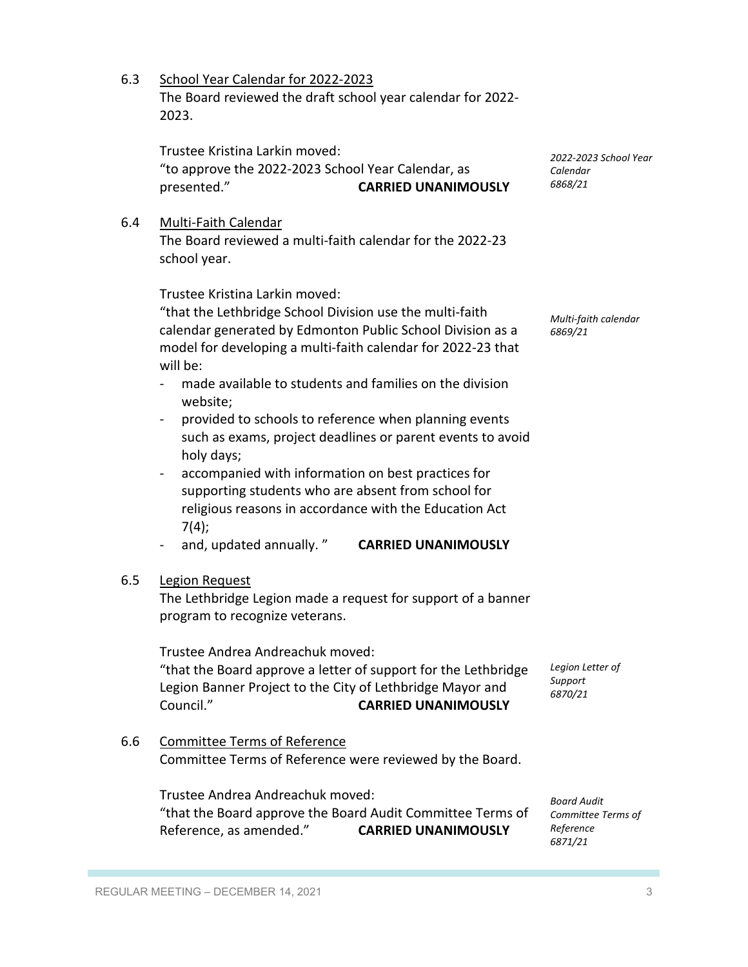6.3 School Year Calendar for 2022-2023 The Board reviewed the draft school year calendar for 2022- 2023.

Trustee Kristina Larkin moved: "to approve the 2022-2023 School Year Calendar, as presented." **CARRIED UNANIMOUSLY**

#### 6.4 Multi-Faith Calendar

The Board reviewed a multi-faith calendar for the 2022-23 school year.

Trustee Kristina Larkin moved:

"that the Lethbridge School Division use the multi-faith calendar generated by Edmonton Public School Division as a model for developing a multi-faith calendar for 2022-23 that will be:

- made available to students and families on the division website;
- provided to schools to reference when planning events such as exams, project deadlines or parent events to avoid holy days;
- accompanied with information on best practices for supporting students who are absent from school for religious reasons in accordance with the Education Act  $7(4)$ ;
- and, updated annually. " **CARRIED UNANIMOUSLY**

## 6.5 Legion Request

The Lethbridge Legion made a request for support of a banner program to recognize veterans.

Trustee Andrea Andreachuk moved:

"that the Board approve a letter of support for the Lethbridge Legion Banner Project to the City of Lethbridge Mayor and Council." **CARRIED UNANIMOUSLY**

6.6 Committee Terms of Reference Committee Terms of Reference were reviewed by the Board.

Trustee Andrea Andreachuk moved:

"that the Board approve the Board Audit Committee Terms of Reference, as amended." **CARRIED UNANIMOUSLY**

*Board Audit Committee Terms of Reference 6871/21*

*Multi-faith calendar 6869/21*

*2022-2023 School Year* 

*Calendar 6868/21*

*Legion Letter of Support 6870/21*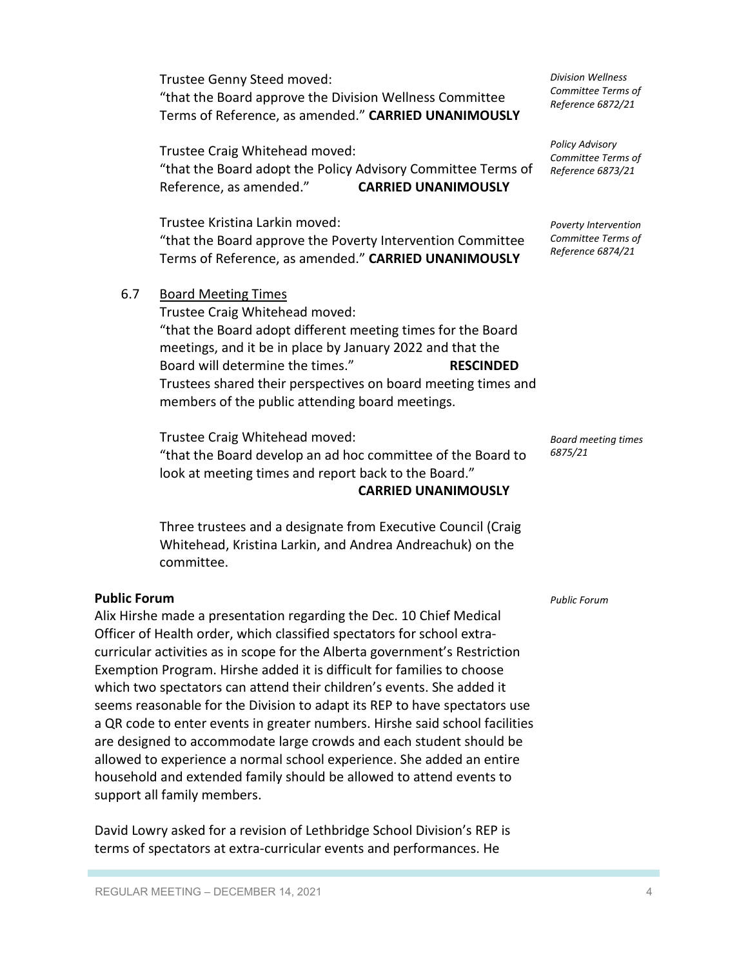Trustee Genny Steed moved: "that the Board approve the Division Wellness Committee Terms of Reference, as amended." **CARRIED UNANIMOUSLY**

Trustee Craig Whitehead moved: "that the Board adopt the Policy Advisory Committee Terms of Reference, as amended." **CARRIED UNANIMOUSLY**

Trustee Kristina Larkin moved: "that the Board approve the Poverty Intervention Committee Terms of Reference, as amended." **CARRIED UNANIMOUSLY**

6.7 Board Meeting Times

Trustee Craig Whitehead moved: "that the Board adopt different meeting times for the Board meetings, and it be in place by January 2022 and that the Board will determine the times." **RESCINDED** Trustees shared their perspectives on board meeting times and members of the public attending board meetings.

Trustee Craig Whitehead moved: "that the Board develop an ad hoc committee of the Board to look at meeting times and report back to the Board."

**CARRIED UNANIMOUSLY**

Three trustees and a designate from Executive Council (Craig Whitehead, Kristina Larkin, and Andrea Andreachuk) on the committee.

## **Public Forum**

Alix Hirshe made a presentation regarding the Dec. 10 Chief Medical Officer of Health order, which classified spectators for school extracurricular activities as in scope for the Alberta government's Restriction Exemption Program. Hirshe added it is difficult for families to choose which two spectators can attend their children's events. She added it seems reasonable for the Division to adapt its REP to have spectators use a QR code to enter events in greater numbers. Hirshe said school facilities are designed to accommodate large crowds and each student should be allowed to experience a normal school experience. She added an entire household and extended family should be allowed to attend events to support all family members.

David Lowry asked for a revision of Lethbridge School Division's REP is terms of spectators at extra-curricular events and performances. He

*Division Wellness Committee Terms of Reference 6872/21*

*Policy Advisory Committee Terms of Reference 6873/21*

*Poverty Intervention Committee Terms of Reference 6874/21*

*Board meeting times 6875/21*

*Public Forum*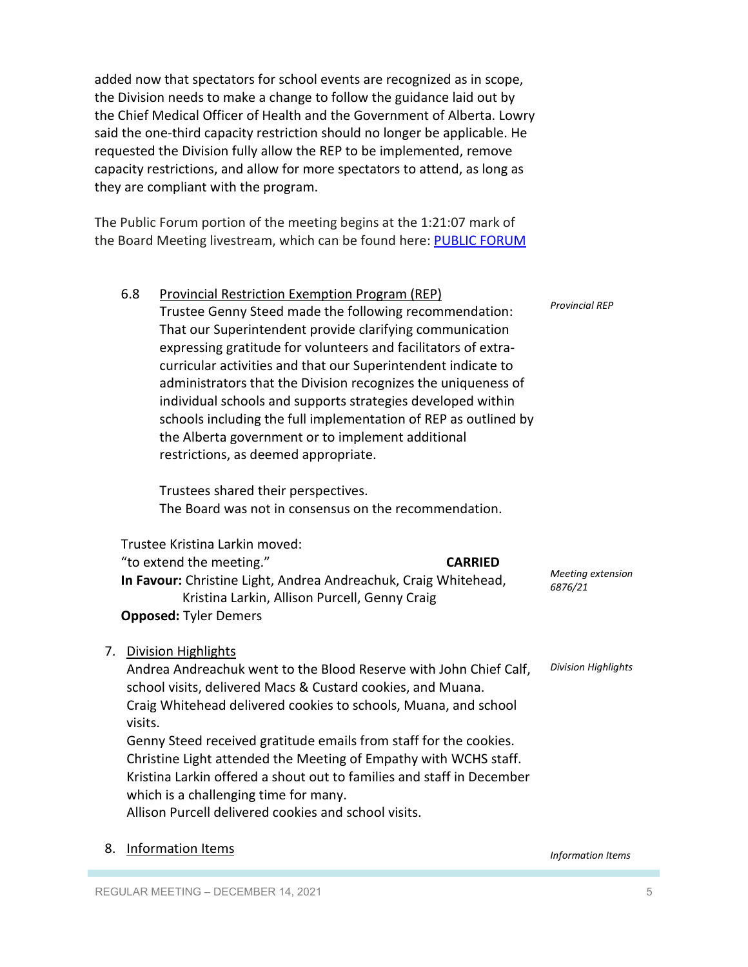added now that spectators for school events are recognized as in scope, the Division needs to make a change to follow the guidance laid out by the Chief Medical Officer of Health and the Government of Alberta. Lowry said the one-third capacity restriction should no longer be applicable. He requested the Division fully allow the REP to be implemented, remove capacity restrictions, and allow for more spectators to attend, as long as they are compliant with the program.

The Public Forum portion of the meeting begins at the 1:21:07 mark of the Board Meeting livestream, which can be found here: PUBLIC FORUM

|    | 6.8     | <b>Provincial Restriction Exemption Program (REP)</b>                                                            |                            |
|----|---------|------------------------------------------------------------------------------------------------------------------|----------------------------|
|    |         | Trustee Genny Steed made the following recommendation:                                                           | <b>Provincial REP</b>      |
|    |         | That our Superintendent provide clarifying communication                                                         |                            |
|    |         | expressing gratitude for volunteers and facilitators of extra-                                                   |                            |
|    |         | curricular activities and that our Superintendent indicate to                                                    |                            |
|    |         | administrators that the Division recognizes the uniqueness of                                                    |                            |
|    |         | individual schools and supports strategies developed within                                                      |                            |
|    |         | schools including the full implementation of REP as outlined by                                                  |                            |
|    |         | the Alberta government or to implement additional                                                                |                            |
|    |         | restrictions, as deemed appropriate.                                                                             |                            |
|    |         | Trustees shared their perspectives.                                                                              |                            |
|    |         | The Board was not in consensus on the recommendation.                                                            |                            |
|    |         | Trustee Kristina Larkin moved:                                                                                   |                            |
|    |         | "to extend the meeting."<br><b>CARRIED</b>                                                                       | Meeting extension          |
|    |         | In Favour: Christine Light, Andrea Andreachuk, Craig Whitehead,<br>Kristina Larkin, Allison Purcell, Genny Craig | 6876/21                    |
|    |         | <b>Opposed: Tyler Demers</b>                                                                                     |                            |
| 7. |         | <b>Division Highlights</b>                                                                                       |                            |
|    |         | Andrea Andreachuk went to the Blood Reserve with John Chief Calf,                                                | <b>Division Highlights</b> |
|    |         | school visits, delivered Macs & Custard cookies, and Muana.                                                      |                            |
|    | visits. | Craig Whitehead delivered cookies to schools, Muana, and school                                                  |                            |
|    |         | Genny Steed received gratitude emails from staff for the cookies.                                                |                            |
|    |         | Christine Light attended the Meeting of Empathy with WCHS staff.                                                 |                            |
|    |         | Kristina Larkin offered a shout out to families and staff in December                                            |                            |
|    |         | which is a challenging time for many.                                                                            |                            |
|    |         | Allison Purcell delivered cookies and school visits.                                                             |                            |
|    |         |                                                                                                                  |                            |

#### 8. Information Items

*Information Items*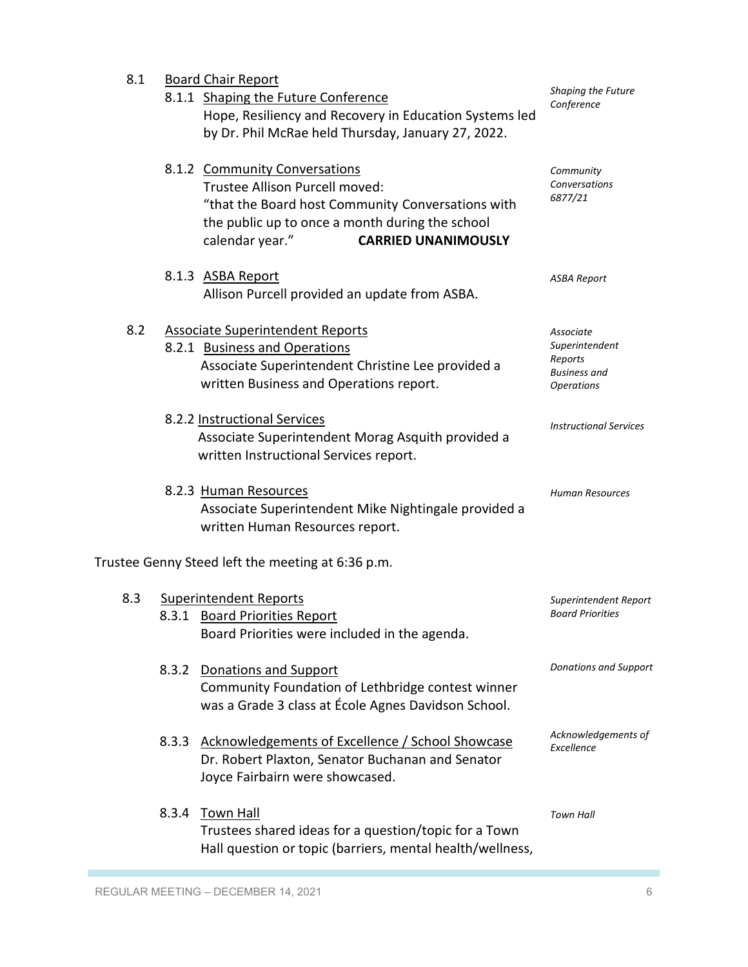| 8.1 |       | <b>Board Chair Report</b>                                                                                |                                          |
|-----|-------|----------------------------------------------------------------------------------------------------------|------------------------------------------|
|     |       | 8.1.1 Shaping the Future Conference<br>Hope, Resiliency and Recovery in Education Systems led            | <b>Shaping the Future</b><br>Conference  |
|     |       | by Dr. Phil McRae held Thursday, January 27, 2022.                                                       |                                          |
|     |       | 8.1.2 Community Conversations<br>Trustee Allison Purcell moved:                                          | Community<br>Conversations               |
|     |       | "that the Board host Community Conversations with                                                        | 6877/21                                  |
|     |       | the public up to once a month during the school<br>calendar year."<br><b>CARRIED UNANIMOUSLY</b>         |                                          |
|     |       | 8.1.3 ASBA Report                                                                                        | <b>ASBA Report</b>                       |
|     |       | Allison Purcell provided an update from ASBA.                                                            |                                          |
| 8.2 |       | <b>Associate Superintendent Reports</b><br>8.2.1 Business and Operations                                 | Associate<br>Superintendent              |
|     |       | Associate Superintendent Christine Lee provided a                                                        | Reports                                  |
|     |       | written Business and Operations report.                                                                  | <b>Business and</b><br><b>Operations</b> |
|     |       | 8.2.2 Instructional Services                                                                             | <b>Instructional Services</b>            |
|     |       | Associate Superintendent Morag Asquith provided a<br>written Instructional Services report.              |                                          |
|     |       | 8.2.3 Human Resources                                                                                    | Human Resources                          |
|     |       | Associate Superintendent Mike Nightingale provided a<br>written Human Resources report.                  |                                          |
|     |       | Trustee Genny Steed left the meeting at 6:36 p.m.                                                        |                                          |
| 8.3 |       | <b>Superintendent Reports</b>                                                                            | Superintendent Report                    |
|     |       | 8.3.1 Board Priorities Report<br>Board Priorities were included in the agenda.                           | <b>Board Priorities</b>                  |
|     |       |                                                                                                          |                                          |
|     |       | 8.3.2 Donations and Support                                                                              | <b>Donations and Support</b>             |
|     |       | Community Foundation of Lethbridge contest winner<br>was a Grade 3 class at École Agnes Davidson School. |                                          |
|     | 8.3.3 | Acknowledgements of Excellence / School Showcase                                                         | Acknowledgements of<br>Excellence        |
|     |       | Dr. Robert Plaxton, Senator Buchanan and Senator<br>Joyce Fairbairn were showcased.                      |                                          |
|     | 8.3.4 | <b>Town Hall</b>                                                                                         | <b>Town Hall</b>                         |
|     |       | Trustees shared ideas for a question/topic for a Town                                                    |                                          |
|     |       | Hall question or topic (barriers, mental health/wellness,                                                |                                          |

T.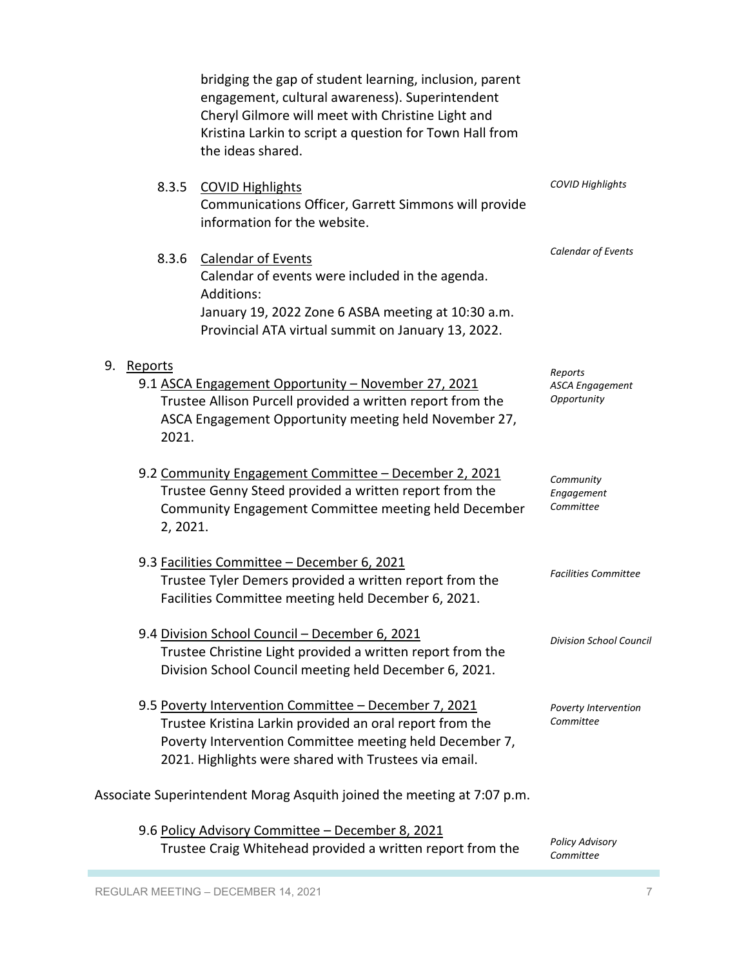bridging the gap of student learning, inclusion, parent engagement, cultural awareness). Superintendent Cheryl Gilmore will meet with Christine Light and Kristina Larkin to script a question for Town Hall from the ideas shared. 8.3.5 COVID Highlights Communications Officer, Garrett Simmons will provide information for the website. 8.3.6 Calendar of Events Calendar of events were included in the agenda. Additions: January 19, 2022 Zone 6 ASBA meeting at 10:30 a.m. Provincial ATA virtual summit on January 13, 2022. 9. Reports 9.1 ASCA Engagement Opportunity – November 27, 2021 Trustee Allison Purcell provided a written report from the ASCA Engagement Opportunity meeting held November 27, 2021. 9.2 Community Engagement Committee – December 2, 2021 Trustee Genny Steed provided a written report from the Community Engagement Committee meeting held December 2, 2021. 9.3 Facilities Committee – December 6, 2021 Trustee Tyler Demers provided a written report from the Facilities Committee meeting held December 6, 2021. 9.4 Division School Council – December 6, 2021 Trustee Christine Light provided a written report from the Division School Council meeting held December 6, 2021. 9.5 Poverty Intervention Committee – December 7, 2021 Trustee Kristina Larkin provided an oral report from the Poverty Intervention Committee meeting held December 7, 2021. Highlights were shared with Trustees via email. Associate Superintendent Morag Asquith joined the meeting at 7:07 p.m. 9.6 Policy Advisory Committee – December 8, 2021 Trustee Craig Whitehead provided a written report from the *COVID Highlights Calendar of Events Reports ASCA Engagement Opportunity Community Engagement Committee Facilities Committee Division School Council Poverty Intervention Committee Policy Advisory* 

REGULAR MEETING – DECEMBER 14, 2021 **7** and 2011 11 and 2012 12 and 2012 12 and 2012 12 and 2012 12 and 2012 12 and 2012 12 and 2012 12 and 2012 12 and 2012 12 and 2012 12 and 2012 12 and 2012 12 and 2012 12 and 2012 12 an

*Committee*